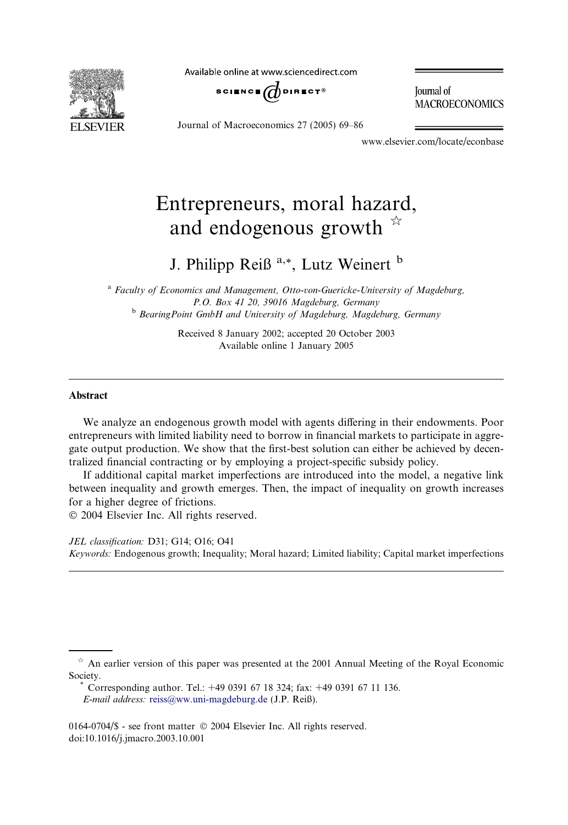

Available online at www.sciencedirect.com



**Journal** of **MACROECONOMICS** 

Journal of Macroeconomics 27 (2005) 69–86

www.elsevier.com/locate/econbase

## Entrepreneurs, moral hazard, and endogenous growth  $\mathbb{R}$

J. Philipp Reiß<sup>a,\*</sup>, Lutz Weinert<sup>b</sup>

<sup>a</sup> Faculty of Economics and Management, Otto-von-Guericke-University of Magdeburg, P.O. Box 41 20, 39016 Magdeburg, Germany <sup>b</sup> BearingPoint GmbH and University of Magdeburg, Magdeburg, Germany

> Received 8 January 2002; accepted 20 October 2003 Available online 1 January 2005

## Abstract

We analyze an endogenous growth model with agents differing in their endowments. Poor entrepreneurs with limited liability need to borrow in financial markets to participate in aggregate output production. We show that the first-best solution can either be achieved by decentralized financial contracting or by employing a project-specific subsidy policy.

If additional capital market imperfections are introduced into the model, a negative link between inequality and growth emerges. Then, the impact of inequality on growth increases for a higher degree of frictions.

2004 Elsevier Inc. All rights reserved.

JEL classification: D31; G14; O16; O41 Keywords: Endogenous growth; Inequality; Moral hazard; Limited liability; Capital market imperfections

 $\dot{\gamma}$  An earlier version of this paper was presented at the 2001 Annual Meeting of the Royal Economic Society. \* Corresponding author. Tel.: +49 0391 67 18 324; fax: +49 0391 67 11 136.

E-mail address: [reiss@ww.uni-magdeburg.de](mailto:reiss@ww.uni-magdeburg.de ) (J.P. Reiß).

<sup>0164-0704/\$ -</sup> see front matter © 2004 Elsevier Inc. All rights reserved. doi:10.1016/j.jmacro.2003.10.001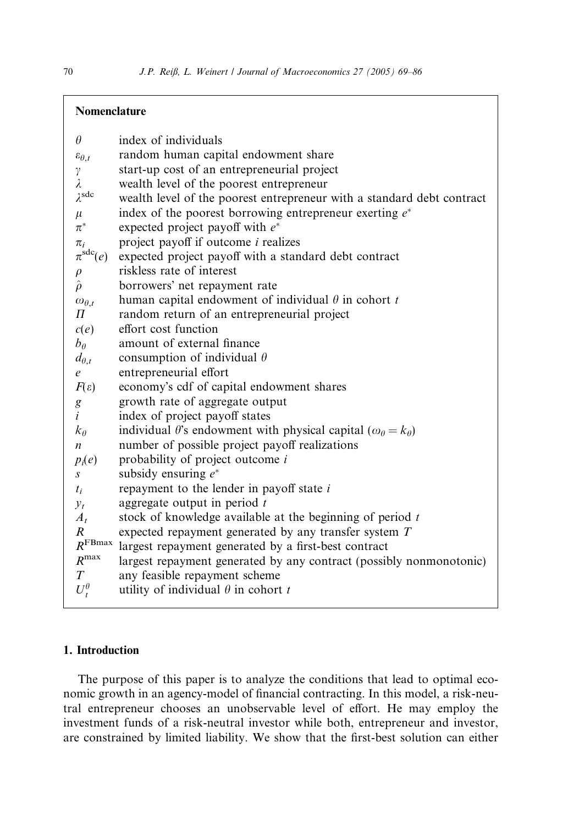| Nomenclature             |                                                                                                                        |
|--------------------------|------------------------------------------------------------------------------------------------------------------------|
| $\theta$                 | index of individuals                                                                                                   |
| $\varepsilon_{\theta,t}$ | random human capital endowment share                                                                                   |
| γ                        | start-up cost of an entrepreneurial project                                                                            |
| λ                        | wealth level of the poorest entrepreneur                                                                               |
| $\lambda^{\rm sdc}$      | wealth level of the poorest entrepreneur with a standard debt contract                                                 |
| $\mu$                    | index of the poorest borrowing entrepreneur exerting $e^*$                                                             |
| $\pi^*$                  | expected project payoff with $e^*$                                                                                     |
| $\pi_i$                  | project payoff if outcome <i>i</i> realizes                                                                            |
| $\pi^{\text{sdc}}(e)$    | expected project payoff with a standard debt contract                                                                  |
| $\rho$                   | riskless rate of interest                                                                                              |
| $\hat{\rho}$             | borrowers' net repayment rate                                                                                          |
| $\omega_{\theta,t}$      | human capital endowment of individual $\theta$ in cohort t                                                             |
| $\overline{u}$           | random return of an entrepreneurial project                                                                            |
| c(e)                     | effort cost function                                                                                                   |
| $b_{\theta}$             | amount of external finance                                                                                             |
| $d_{\theta,t}$           | consumption of individual $\theta$                                                                                     |
| $\epsilon$               | entrepreneurial effort                                                                                                 |
| $F(\varepsilon)$         | economy's cdf of capital endowment shares                                                                              |
| $\boldsymbol{g}$         | growth rate of aggregate output                                                                                        |
| $\dot{i}$                | index of project payoff states                                                                                         |
| $k_{\theta}$             | individual $\theta$ 's endowment with physical capital ( $\omega_{\theta} = k_{\theta}$ )                              |
| n                        | number of possible project payoff realizations                                                                         |
| $p_i(e)$                 | probability of project outcome i                                                                                       |
| S                        | subsidy ensuring $e^*$                                                                                                 |
| $t_i$                    | repayment to the lender in payoff state $i$                                                                            |
| $y_t$                    | aggregate output in period $t$                                                                                         |
| $A_t$<br>R               | stock of knowledge available at the beginning of period $t$<br>expected repayment generated by any transfer system $T$ |
| $R^{\text{FBmax}}$       | largest repayment generated by a first-best contract                                                                   |
| $R^{\max}$               | largest repayment generated by any contract (possibly nonmonotonic)                                                    |
| T                        | any feasible repayment scheme                                                                                          |
| $U_t^{\theta}$           | utility of individual $\theta$ in cohort t                                                                             |
|                          |                                                                                                                        |

## 1. Introduction

The purpose of this paper is to analyze the conditions that lead to optimal economic growth in an agency-model of financial contracting. In this model, a risk-neutral entrepreneur chooses an unobservable level of effort. He may employ the investment funds of a risk-neutral investor while both, entrepreneur and investor, are constrained by limited liability. We show that the first-best solution can either